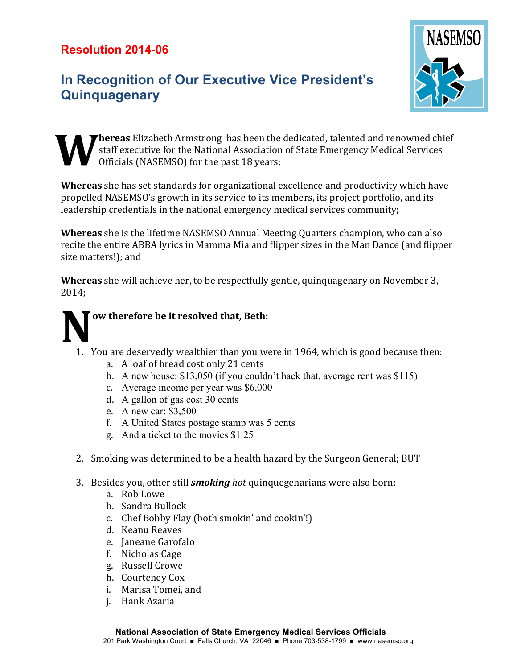## **Resolution 2014-06**

## **In Recognition of Our Executive Vice President's Quinquagenary**



Thereas Elizabeth Armstrong has been the dedicated, talented and renowned chief  $\blacksquare$  staff executive for the National Association of State Emergency Medical Services Officials (NASEMSO) for the past 18 years; **W**

**Whereas** she has set standards for organizational excellence and productivity which have propelled NASEMSO's growth in its service to its members, its project portfolio, and its leadership credentials in the national emergency medical services community;

**Whereas** she is the lifetime NASEMSO Annual Meeting Quarters champion, who can also recite the entire ABBA lyrics in Mamma Mia and flipper sizes in the Man Dance (and flipper size matters!): and

**Whereas** she will achieve her, to be respectfully gentle, quinquagenary on November 3, 2014;



- 1. You are deservedly wealthier than you were in 1964, which is good because then:
	- a. A loaf of bread cost only 21 cents
	- b. A new house: \$13,050 (if you couldn't hack that, average rent was \$115)
	- c. Average income per year was \$6,000
	- d. A gallon of gas cost 30 cents
	- e. A new car: \$3,500
	- f. A United States postage stamp was 5 cents
	- g. And a ticket to the movies \$1.25
- 2. Smoking was determined to be a health hazard by the Surgeon General; BUT
- 3. Besides you, other still *smoking* hot quinquegenarians were also born:
	- a. Rob Lowe
	- b. Sandra Bullock
	- c. Chef Bobby Flay (both smokin' and cookin'!)
	- d. Keanu Reaves
	- e. Janeane Garofalo
	- f. Nicholas Cage
	- g. Russell Crowe
	- h. Courteney Cox
	- i. Marisa Tomei, and
	- j. Hank Azaria